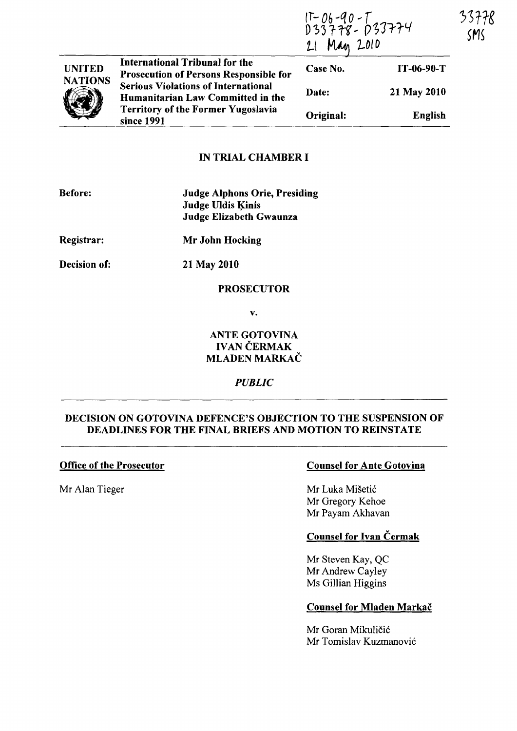|                                 |                                                                                                                                                                                                                               | IT-06-90-T<br>D33778-033774<br>Man 2010 |                | SMS |  |
|---------------------------------|-------------------------------------------------------------------------------------------------------------------------------------------------------------------------------------------------------------------------------|-----------------------------------------|----------------|-----|--|
| <b>UNITED</b><br><b>NATIONS</b> | International Tribunal for the<br><b>Prosecution of Persons Responsible for</b><br><b>Serious Violations of International</b><br>Humanitarian Law Committed in the<br><b>Territory of the Former Yugoslavia</b><br>since 1991 | Case No.                                | IT-06-90-T     |     |  |
|                                 |                                                                                                                                                                                                                               | Date:                                   | 21 May 2010    |     |  |
|                                 |                                                                                                                                                                                                                               | Original:                               | <b>English</b> |     |  |

# IN TRIAL CHAMBER I

| <b>Before:</b> | <b>Judge Alphons Orie, Presiding</b><br><b>Judge Uldis Kinis</b><br>Judge Elizabeth Gwaunza |  |
|----------------|---------------------------------------------------------------------------------------------|--|
| Registrar:     | Mr John Hocking                                                                             |  |
| Decision of:   | 21 May 2010                                                                                 |  |

### PROSECUTOR

v.

## ANTE GOTOVINA IVAN ČERMAK MLADEN MARKAČ

*PUBLIC* 

# DECISION ON GOTOVINA DEFENCE'S OBJECTION TO THE SUSPENSION OF DEADLINES FOR THE FINAL BRIEFS AND MOTION TO REINSTATE

## Office of the Prosecutor

Mr Alan Tieger

# Counsel for Ante Gotovina

Mr Luka Mišetić Mr Gregory Kehoe Mr Payam Akhavan

# Counsel for Ivan Čermak

Mr Steven Kay, QC Mr Andrew Cayley Ms Gillian Higgins

## Counsel for Mladen Markac

Mr Goran Mikuličić Mr Tomislav Kuzmanovic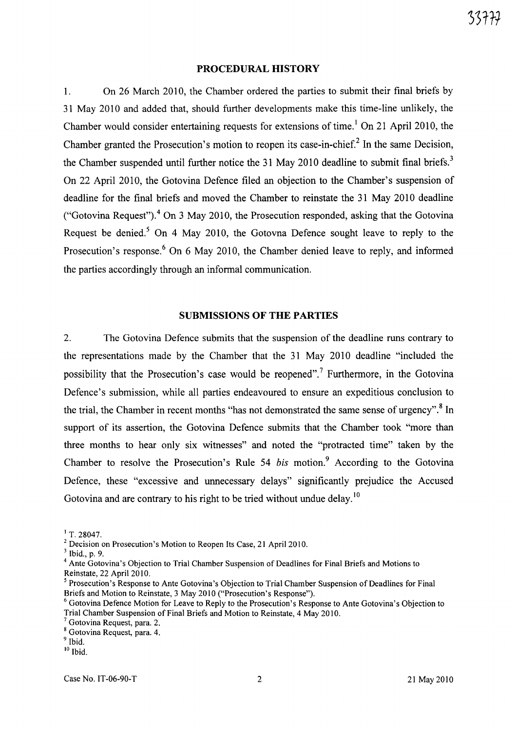### **PROCEDURAL HISTORY**

1. On 26 March 2010, the Chamber ordered the parties to submit their final briefs by 31 May 2010 and added that, should further developments make this time-line unlikely, the Chamber would consider entertaining requests for extensions of time.<sup>1</sup> On 21 April 2010, the Chamber granted the Prosecution's motion to reopen its case-in-chief? In the same Decision, the Chamber suspended until further notice the 31 May 2010 deadline to submit final briefs.<sup>3</sup> On 22 April 2010, the Gotovina Defence filed an objection to the Chamber's suspension of deadline for the final briefs and moved the Chamber to reinstate the 31 May 2010 deadline ("Gotovina Request").<sup>4</sup> On 3 May 2010, the Prosecution responded, asking that the Gotovina Request be denied.<sup>5</sup> On 4 May 2010, the Gotovna Defence sought leave to reply to the Prosecution's response.<sup>6</sup> On 6 May 2010, the Chamber denied leave to reply, and informed the parties accordingly through an informal communication.

#### **SUBMISSIONS OF THE PARTIES**

2. The Gotovina Defence submits that the suspension of the deadline runs contrary to the representations made by the Chamber that the 31 May 2010 deadline "included the possibility that the Prosecution's case would be reopened".<sup>7</sup> Furthermore, in the Gotovina Defence's submission, while all parties endeavoured to ensure an expeditious conclusion to the trial, the Chamber in recent months "has not demonstrated the same sense of urgency".<sup>8</sup> In support of its assertion, the Gotovina Defence submits that the Chamber took "more than three months to hear only six witnesses" and noted the "protracted time" taken by the Chamber to resolve the Prosecution's Rule 54 *bis* motion.<sup>9</sup> According to the Gotovina Defence, these "excessive and urmecessary delays" significantly prejudice the Accused Gotovina and are contrary to his right to be tried without undue delay.<sup>10</sup>

 $1$  T. 28047.

<sup>2</sup> Decision on Prosecution's Motion to Reopen Its Case, 21 Apri1201O.

<sup>3</sup> Ibid., p. 9.

<sup>&</sup>lt;sup>4</sup> Ante Gotovina's Objection to Trial Chamber Suspension of Deadlines for Final Briefs and Motions to Reinstate, 22 April 2010.

<sup>5</sup> Prosecution's Response to Ante Gotovina's Objection to Trial Chamber Suspension of Deadlines for Final Briefs and Motion to Reinstate, 3 May 2010 ("Prosecution's Response").

<sup>6</sup> Gotovina Defence Motion for Leave to Reply to the Prosecution's Response to Ante Gotovina's Objection to Trial Chamber Suspension of Final Briefs and Motion to Reinstate, 4 May 2010.

Gotovina Request, para. 2.

<sup>8</sup> Gotovina Request, para. 4.

<sup>&</sup>lt;sup>9</sup> Ibid. 10 Ibid.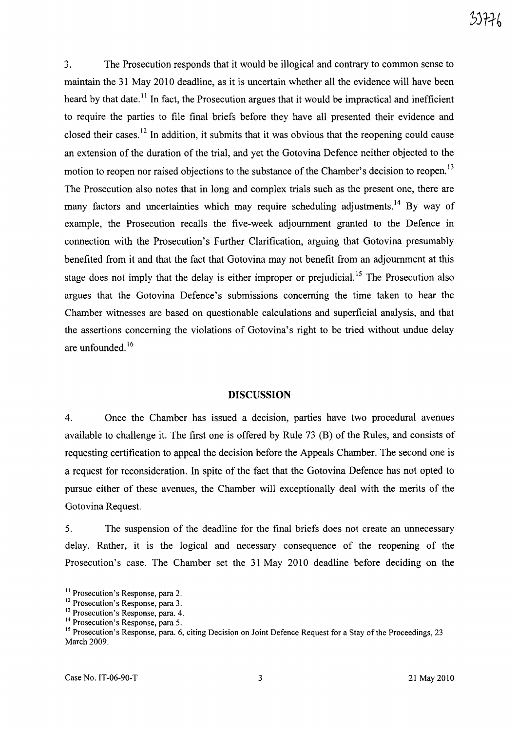3. The Prosecution responds that it would be illogical and contrary to common sense to maintain the 31 May 2010 deadline, as it is uncertain whether all the evidence will have been heard by that date.<sup>11</sup> In fact, the Prosecution argues that it would be impractical and inefficient to require the parties to file final briefs before they have all presented their evidence and closed their cases.<sup>12</sup> In addition, it submits that it was obvious that the reopening could cause an extension of the duration of the trial, and yet the Gotovina Defence neither objected to the motion to reopen nor raised objections to the substance of the Chamber's decision to reopen.<sup>13</sup> The Prosecution also notes that in long and complex trials such as the present one, there are many factors and uncertainties which may require scheduling adjustments. 14 By way of example, the Prosecution recalls the five-week adjournment granted to the Defence in connection with the Prosecution's Further Clarification, arguing that Gotovina presumably benefited from it and that the fact that Gotovina may not benefit from an adjournment at this stage does not imply that the delay is either improper or prejudicial.<sup>15</sup> The Prosecution also argues that the Gotovina Defence's submissions concerning the time taken to hear the Chamber witnesses are based on questionable calculations and superficial analysis, and that the assertions concerning the violations of Gotovina's right to be tried without undue delay are unfounded. <sup>16</sup>

#### **DISCUSSION**

4. Once the Chamber has issued a decision, parties have two procedural avenues available to challenge it. The first one is offered by Rule 73 (B) of the Rules, and consists of requesting certification to appeal the decision before the Appeals Chamber. The second one is a request for reconsideration. In spite of the fact that the Gotovina Defence has not opted to pursue either of these avenues, the Chamber will exceptionally deal with the merits of the Gotovina Request.

5. The suspension of the deadline for the final briefs does not create an unnecessary delay. Rather, it is the logical and necessary consequence of the reopening of the Prosecution's case. The Chamber set the 31 May 2010 deadline before deciding on the

<sup>&</sup>lt;sup>11</sup> Prosecution's Response, para 2.

<sup>&</sup>lt;sup>12</sup> Prosecution's Response, para 3.

<sup>&</sup>lt;sup>13</sup> Prosecution's Response, para. 4.

<sup>&</sup>lt;sup>14</sup> Prosecution's Response, para 5.

<sup>&</sup>lt;sup>15</sup> Prosecution's Response, para. 6, citing Decision on Joint Defence Request for a Stay of the Proceedings, 23 March 2009.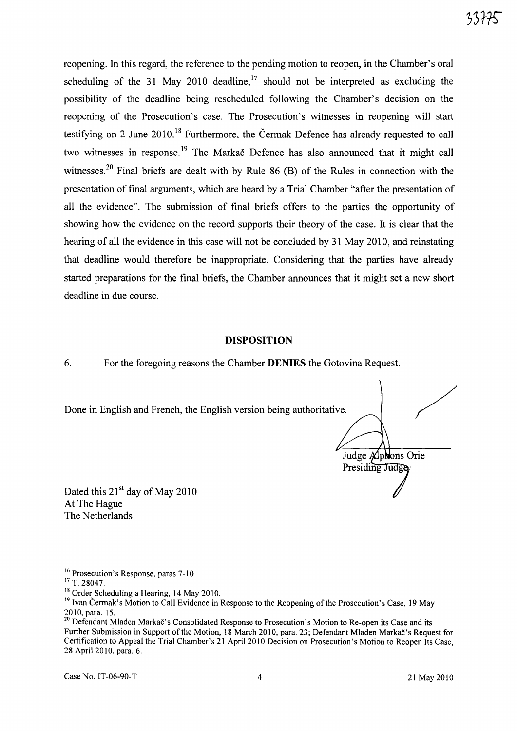reopening. In this regard, the reference to the pending motion to reopen, in the Chamber's oral scheduling of the 31 May 2010 deadline,<sup>17</sup> should not be interpreted as excluding the possibility of the deadline being rescheduled following the Chamber's decision on the reopening of the Prosecution's case. The Prosecution's witnesses in reopening will start testifying on 2 June 2010.<sup>18</sup> Furthermore, the Čermak Defence has already requested to call two witnesses in response.<sup>19</sup> The Markac Defence has also announced that it might call witnesses.<sup>20</sup> Final briefs are dealt with by Rule 86 (B) of the Rules in connection with the presentation of final arguments, which are heard by a Trial Chamber "after the presentation of all the evidence". The submission of final briefs offers to the parties the opportunity of showing how the evidence on the record supports their theory of the case. It is clear that the hearing of all the evidence in this case will not be concluded by 31 May 2010, and reinstating that deadline would therefore be inappropriate. Considering that the parties have already started preparations for the final briefs, the Chamber announces that it might set a new short deadline in due course.

#### **DISPOSITION**

6. For the foregoing reasons the Chamber **DENIES** the Gotovina Request.

Done in English and French, the English version being authoritative.

/ Judge Alphons Orie Presiding Judge

Dated this  $21<sup>st</sup>$  day of May 2010 At The Hague The Netherlands

Case No. 1T-06-90-T 4 21 May 2010

<sup>&</sup>lt;sup>16</sup> Prosecution's Response, paras 7-10.

<sup>&</sup>lt;sup>17</sup> T. 28047.

<sup>&</sup>lt;sup>18</sup> Order Scheduling a Hearing, 14 May 2010.

<sup>&</sup>lt;sup>19</sup> Ivan Čermak's Motion to Call Evidence in Response to the Reopening of the Prosecution's Case, 19 May 2010, para. 15.

<sup>&</sup>lt;sup>20</sup> Defendant Mladen Markač's Consolidated Response to Prosecution's Motion to Re-open its Case and its Further Submission in Support of the Motion, 18 March 2010, para. 23; Defendant Mladen Markac's Request for Certification to Appeal the Trial Chamber's 21 April 2010 Decision on Prosecution's Motion to Reopen Its Case, 28 April 2010, para. 6.